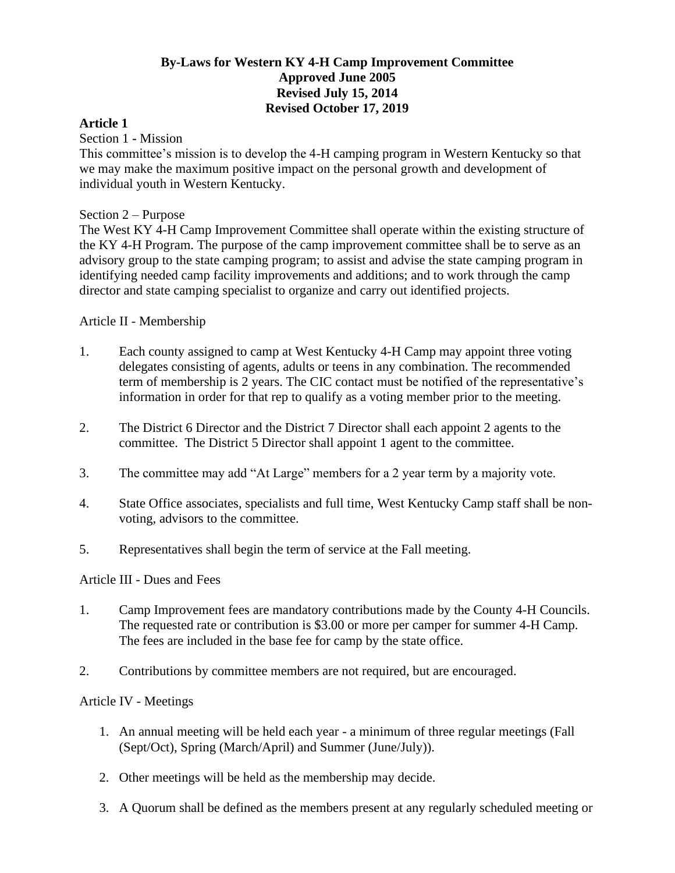# **By-Laws for Western KY 4-H Camp Improvement Committee Approved June 2005 Revised July 15, 2014 Revised October 17, 2019**

### **Article 1**

Section 1 **-** Mission

This committee's mission is to develop the 4-H camping program in Western Kentucky so that we may make the maximum positive impact on the personal growth and development of individual youth in Western Kentucky.

### Section 2 – Purpose

The West KY 4-H Camp Improvement Committee shall operate within the existing structure of the KY 4-H Program. The purpose of the camp improvement committee shall be to serve as an advisory group to the state camping program; to assist and advise the state camping program in identifying needed camp facility improvements and additions; and to work through the camp director and state camping specialist to organize and carry out identified projects.

### Article II - Membership

- 1. Each county assigned to camp at West Kentucky 4-H Camp may appoint three voting delegates consisting of agents, adults or teens in any combination. The recommended term of membership is 2 years. The CIC contact must be notified of the representative's information in order for that rep to qualify as a voting member prior to the meeting.
- 2. The District 6 Director and the District 7 Director shall each appoint 2 agents to the committee. The District 5 Director shall appoint 1 agent to the committee.
- 3. The committee may add "At Large" members for a 2 year term by a majority vote.
- 4. State Office associates, specialists and full time, West Kentucky Camp staff shall be nonvoting, advisors to the committee.
- 5. Representatives shall begin the term of service at the Fall meeting.

#### Article III - Dues and Fees

- 1. Camp Improvement fees are mandatory contributions made by the County 4-H Councils. The requested rate or contribution is \$3.00 or more per camper for summer 4-H Camp. The fees are included in the base fee for camp by the state office.
- 2. Contributions by committee members are not required, but are encouraged.

#### Article IV - Meetings

- 1. An annual meeting will be held each year a minimum of three regular meetings (Fall (Sept/Oct), Spring (March/April) and Summer (June/July)).
- 2. Other meetings will be held as the membership may decide.
- 3. A Quorum shall be defined as the members present at any regularly scheduled meeting or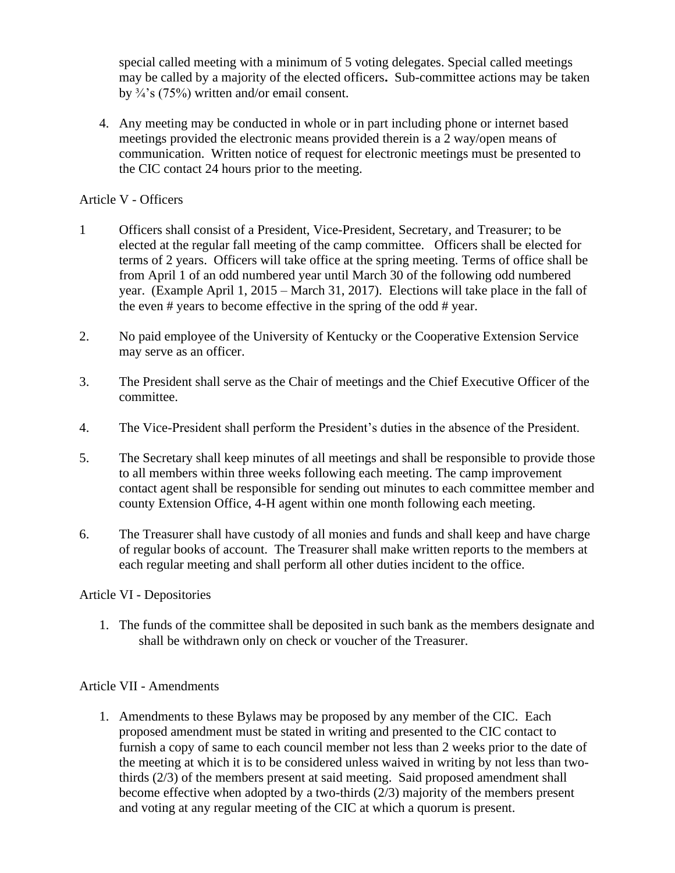special called meeting with a minimum of 5 voting delegates. Special called meetings may be called by a majority of the elected officers**.** Sub-committee actions may be taken by ¾'s (75%) written and/or email consent.

4. Any meeting may be conducted in whole or in part including phone or internet based meetings provided the electronic means provided therein is a 2 way/open means of communication. Written notice of request for electronic meetings must be presented to the CIC contact 24 hours prior to the meeting.

# Article V - Officers

- 1 Officers shall consist of a President, Vice-President, Secretary, and Treasurer; to be elected at the regular fall meeting of the camp committee.Officers shall be elected for terms of 2 years. Officers will take office at the spring meeting. Terms of office shall be from April 1 of an odd numbered year until March 30 of the following odd numbered year. (Example April 1, 2015 – March 31, 2017). Elections will take place in the fall of the even # years to become effective in the spring of the odd # year.
- 2. No paid employee of the University of Kentucky or the Cooperative Extension Service may serve as an officer.
- 3. The President shall serve as the Chair of meetings and the Chief Executive Officer of the committee.
- 4. The Vice-President shall perform the President's duties in the absence of the President.
- 5. The Secretary shall keep minutes of all meetings and shall be responsible to provide those to all members within three weeks following each meeting. The camp improvement contact agent shall be responsible for sending out minutes to each committee member and county Extension Office, 4-H agent within one month following each meeting.
- 6. The Treasurer shall have custody of all monies and funds and shall keep and have charge of regular books of account. The Treasurer shall make written reports to the members at each regular meeting and shall perform all other duties incident to the office.

#### Article VI - Depositories

1. The funds of the committee shall be deposited in such bank as the members designate and shall be withdrawn only on check or voucher of the Treasurer.

# Article VII - Amendments

1. Amendments to these Bylaws may be proposed by any member of the CIC. Each proposed amendment must be stated in writing and presented to the CIC contact to furnish a copy of same to each council member not less than 2 weeks prior to the date of the meeting at which it is to be considered unless waived in writing by not less than twothirds (2/3) of the members present at said meeting. Said proposed amendment shall become effective when adopted by a two-thirds (2/3) majority of the members present and voting at any regular meeting of the CIC at which a quorum is present.